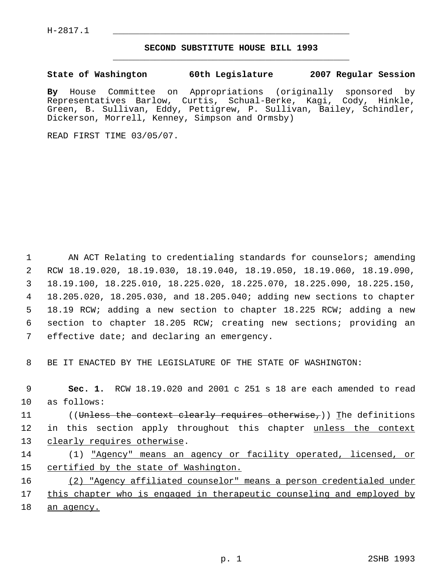## **SECOND SUBSTITUTE HOUSE BILL 1993** \_\_\_\_\_\_\_\_\_\_\_\_\_\_\_\_\_\_\_\_\_\_\_\_\_\_\_\_\_\_\_\_\_\_\_\_\_\_\_\_\_\_\_\_\_

**State of Washington 60th Legislature 2007 Regular Session**

**By** House Committee on Appropriations (originally sponsored by Representatives Barlow, Curtis, Schual-Berke, Kagi, Cody, Hinkle, Green, B. Sullivan, Eddy, Pettigrew, P. Sullivan, Bailey, Schindler, Dickerson, Morrell, Kenney, Simpson and Ormsby)

READ FIRST TIME 03/05/07.

1 AN ACT Relating to credentialing standards for counselors; amending RCW 18.19.020, 18.19.030, 18.19.040, 18.19.050, 18.19.060, 18.19.090, 18.19.100, 18.225.010, 18.225.020, 18.225.070, 18.225.090, 18.225.150, 18.205.020, 18.205.030, and 18.205.040; adding new sections to chapter 18.19 RCW; adding a new section to chapter 18.225 RCW; adding a new section to chapter 18.205 RCW; creating new sections; providing an effective date; and declaring an emergency.

8 BE IT ENACTED BY THE LEGISLATURE OF THE STATE OF WASHINGTON:

 9 **Sec. 1.** RCW 18.19.020 and 2001 c 251 s 18 are each amended to read 10 as follows: 11 ((<del>Unless the context clearly requires otherwise,</del>)) The definitions 12 in this section apply throughout this chapter unless the context

13 clearly requires otherwise.

14 (1) "Agency" means an agency or facility operated, licensed, or 15 certified by the state of Washington.

16 (2) "Agency affiliated counselor" means a person credentialed under 17 this chapter who is engaged in therapeutic counseling and employed by 18 an agency.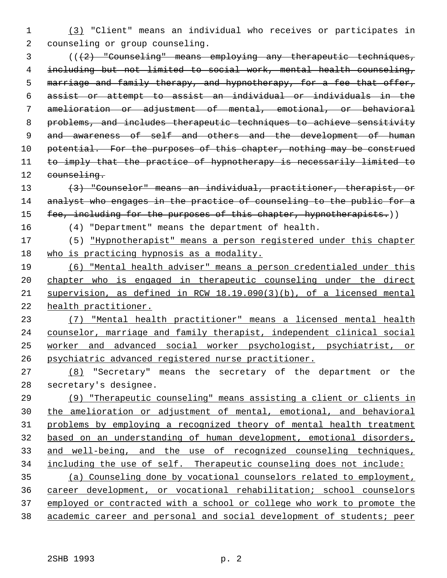(3) "Client" means an individual who receives or participates in counseling or group counseling.

 (((2) "Counseling" means employing any therapeutic techniques, including but not limited to social work, mental health counseling, marriage and family therapy, and hypnotherapy, for a fee that offer, assist or attempt to assist an individual or individuals in the amelioration or adjustment of mental, emotional, or behavioral problems, and includes therapeutic techniques to achieve sensitivity 9 and awareness of self and others and the development of human 10 potential. For the purposes of this chapter, nothing may be construed 11 to imply that the practice of hypnotherapy is necessarily limited to counseling.

 (3) "Counselor" means an individual, practitioner, therapist, or 14 analyst who engages in the practice of counseling to the public for a 15 fee, including for the purposes of this chapter, hypnotherapists.))

(4) "Department" means the department of health.

 (5) "Hypnotherapist" means a person registered under this chapter who is practicing hypnosis as a modality.

 (6) "Mental health adviser" means a person credentialed under this chapter who is engaged in therapeutic counseling under the direct supervision, as defined in RCW 18.19.090(3)(b), of a licensed mental health practitioner.

 (7) "Mental health practitioner" means a licensed mental health counselor, marriage and family therapist, independent clinical social worker and advanced social worker psychologist, psychiatrist, or psychiatric advanced registered nurse practitioner.

 (8) "Secretary" means the secretary of the department or the secretary's designee.

 (9) "Therapeutic counseling" means assisting a client or clients in the amelioration or adjustment of mental, emotional, and behavioral problems by employing a recognized theory of mental health treatment based on an understanding of human development, emotional disorders, 33 and well-being, and the use of recognized counseling techniques, including the use of self. Therapeutic counseling does not include: (a) Counseling done by vocational counselors related to employment,

 career development, or vocational rehabilitation; school counselors employed or contracted with a school or college who work to promote the academic career and personal and social development of students; peer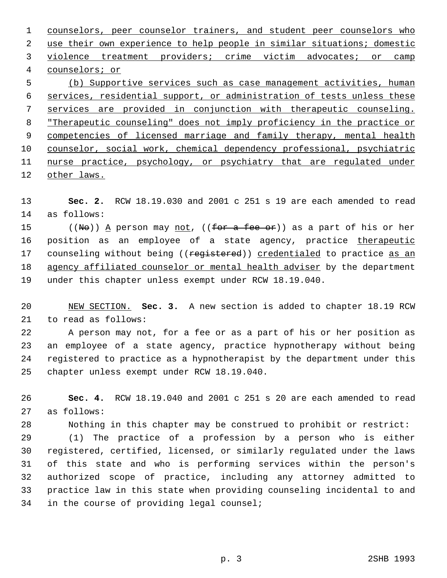counselors, peer counselor trainers, and student peer counselors who use their own experience to help people in similar situations; domestic 3 violence treatment providers; crime victim advocates; or camp counselors; or (b) Supportive services such as case management activities, human services, residential support, or administration of tests unless these services are provided in conjunction with therapeutic counseling. "Therapeutic counseling" does not imply proficiency in the practice or 9 competencies of licensed marriage and family therapy, mental health counselor, social work, chemical dependency professional, psychiatric

11 nurse practice, psychology, or psychiatry that are regulated under other laws.

 **Sec. 2.** RCW 18.19.030 and 2001 c 251 s 19 are each amended to read as follows:

15 ((No)) A person may <u>not</u>, ((for a fee or)) as a part of his or her 16 position as an employee of a state agency, practice therapeutic 17 counseling without being ((registered)) credentialed to practice as an agency affiliated counselor or mental health adviser by the department under this chapter unless exempt under RCW 18.19.040.

 NEW SECTION. **Sec. 3.** A new section is added to chapter 18.19 RCW to read as follows:

 A person may not, for a fee or as a part of his or her position as an employee of a state agency, practice hypnotherapy without being registered to practice as a hypnotherapist by the department under this chapter unless exempt under RCW 18.19.040.

 **Sec. 4.** RCW 18.19.040 and 2001 c 251 s 20 are each amended to read as follows:

Nothing in this chapter may be construed to prohibit or restrict:

 (1) The practice of a profession by a person who is either registered, certified, licensed, or similarly regulated under the laws of this state and who is performing services within the person's authorized scope of practice, including any attorney admitted to practice law in this state when providing counseling incidental to and in the course of providing legal counsel;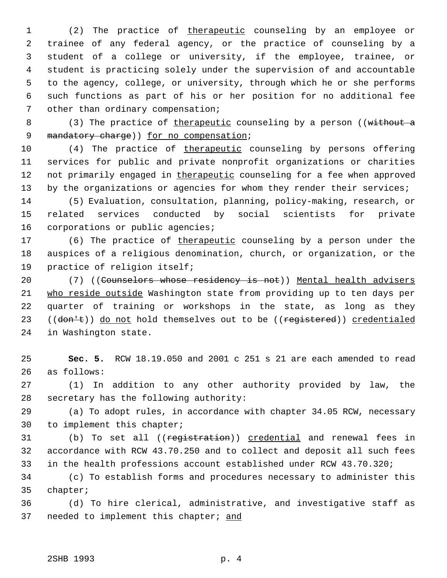1 (2) The practice of therapeutic counseling by an employee or trainee of any federal agency, or the practice of counseling by a student of a college or university, if the employee, trainee, or student is practicing solely under the supervision of and accountable to the agency, college, or university, through which he or she performs such functions as part of his or her position for no additional fee other than ordinary compensation;

8 (3) The practice of therapeutic counseling by a person ((without a 9 mandatory charge) for no compensation;

 (4) The practice of therapeutic counseling by persons offering services for public and private nonprofit organizations or charities 12 not primarily engaged in therapeutic counseling for a fee when approved 13 by the organizations or agencies for whom they render their services;

 (5) Evaluation, consultation, planning, policy-making, research, or related services conducted by social scientists for private corporations or public agencies;

17 (6) The practice of therapeutic counseling by a person under the auspices of a religious denomination, church, or organization, or the practice of religion itself;

20 (7) ((Counselors whose residency is not)) Mental health advisers who reside outside Washington state from providing up to ten days per quarter of training or workshops in the state, as long as they 23 ((don't)) do not hold themselves out to be ((registered)) credentialed in Washington state.

 **Sec. 5.** RCW 18.19.050 and 2001 c 251 s 21 are each amended to read as follows:

 (1) In addition to any other authority provided by law, the secretary has the following authority:

 (a) To adopt rules, in accordance with chapter 34.05 RCW, necessary to implement this chapter;

31 (b) To set all ((registration)) credential and renewal fees in accordance with RCW 43.70.250 and to collect and deposit all such fees in the health professions account established under RCW 43.70.320;

 (c) To establish forms and procedures necessary to administer this chapter;

 (d) To hire clerical, administrative, and investigative staff as 37 needed to implement this chapter; and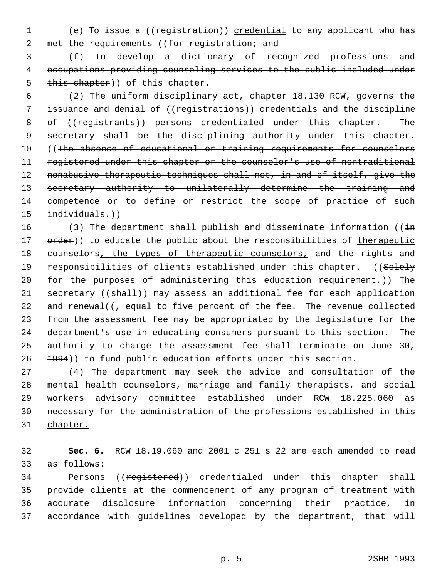1 (e) To issue a ((registration)) credential to any applicant who has 2 met the requirements ((for registration; and

 3 (f) To develop a dictionary of recognized professions and 4 occupations providing counseling services to the public included under 5 this chapter)) of this chapter.

 6 (2) The uniform disciplinary act, chapter 18.130 RCW, governs the 7 issuance and denial of ((registrations)) credentials and the discipline 8 of ((registrants)) persons credentialed under this chapter. The 9 secretary shall be the disciplining authority under this chapter. 10 ((The absence of educational or training requirements for counselors 11 registered under this chapter or the counselor's use of nontraditional 12 nonabusive therapeutic techniques shall not, in and of itself, give the 13 secretary authority to unilaterally determine the training and 14 competence or to define or restrict the scope of practice of such 15 individuals.))

16 (3) The department shall publish and disseminate information ( $(i+n)$ 17 order)) to educate the public about the responsibilities of therapeutic 18 counselors, the types of therapeutic counselors, and the rights and 19 responsibilities of clients established under this chapter. ((Solely 20 for the purposes of administering this education requirement,)) The 21 secretary ((shall)) may assess an additional fee for each application 22 and renewal( $\left(\frac{1}{f}\right)$  equal to five percent of the fee. The revenue collected 23 from the assessment fee may be appropriated by the legislature for the 24 department's use in educating consumers pursuant to this section. The 25 authority to charge the assessment fee shall terminate on June 30, 26 1994)) to fund public education efforts under this section.

 (4) The department may seek the advice and consultation of the mental health counselors, marriage and family therapists, and social workers advisory committee established under RCW 18.225.060 as necessary for the administration of the professions established in this 31 chapter.

32 **Sec. 6.** RCW 18.19.060 and 2001 c 251 s 22 are each amended to read 33 as follows:

34 Persons ((registered)) credentialed under this chapter shall provide clients at the commencement of any program of treatment with accurate disclosure information concerning their practice, in accordance with guidelines developed by the department, that will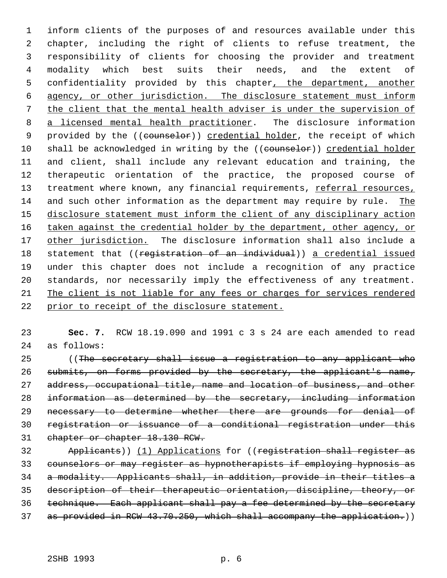inform clients of the purposes of and resources available under this chapter, including the right of clients to refuse treatment, the responsibility of clients for choosing the provider and treatment modality which best suits their needs, and the extent of confidentiality provided by this chapter, the department, another agency, or other jurisdiction. The disclosure statement must inform the client that the mental health adviser is under the supervision of 8 a licensed mental health practitioner. The disclosure information 9 provided by the ((counselor)) credential holder, the receipt of which 10 shall be acknowledged in writing by the ((counselor)) credential holder and client, shall include any relevant education and training, the therapeutic orientation of the practice, the proposed course of 13 treatment where known, any financial requirements, referral resources, and such other information as the department may require by rule. The disclosure statement must inform the client of any disciplinary action 16 taken against the credential holder by the department, other agency, or 17 other jurisdiction. The disclosure information shall also include a 18 statement that ((registration of an individual)) a credential issued under this chapter does not include a recognition of any practice standards, nor necessarily imply the effectiveness of any treatment. The client is not liable for any fees or charges for services rendered prior to receipt of the disclosure statement.

 **Sec. 7.** RCW 18.19.090 and 1991 c 3 s 24 are each amended to read as follows:

 ((The secretary shall issue a registration to any applicant who 26 submits, on forms provided by the secretary, the applicant's name, 27 address, occupational title, name and location of business, and other information as determined by the secretary, including information 29 necessary to determine whether there are grounds for denial of registration or issuance of a conditional registration under this chapter or chapter 18.130 RCW.

 Applicants)) (1) Applications for ((registration shall register as counselors or may register as hypnotherapists if employing hypnosis as a modality. Applicants shall, in addition, provide in their titles a description of their therapeutic orientation, discipline, theory, or technique. Each applicant shall pay a fee determined by the secretary 37 as provided in RCW 43.70.250, which shall accompany the application.))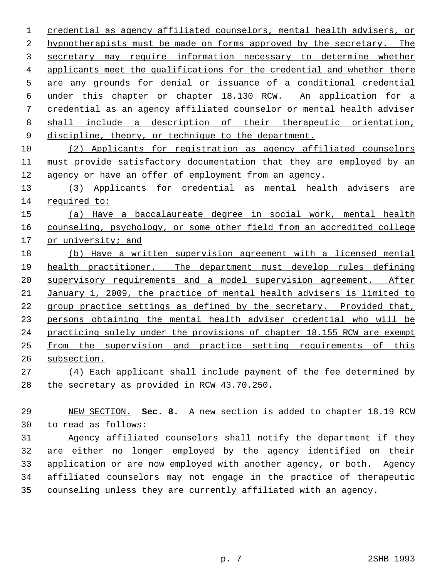credential as agency affiliated counselors, mental health advisers, or hypnotherapists must be made on forms approved by the secretary. The secretary may require information necessary to determine whether applicants meet the qualifications for the credential and whether there are any grounds for denial or issuance of a conditional credential under this chapter or chapter 18.130 RCW. An application for a credential as an agency affiliated counselor or mental health adviser shall include a description of their therapeutic orientation, 9 discipline, theory, or technique to the department.

 (2) Applicants for registration as agency affiliated counselors must provide satisfactory documentation that they are employed by an agency or have an offer of employment from an agency.

 (3) Applicants for credential as mental health advisers are required to:

 (a) Have a baccalaureate degree in social work, mental health counseling, psychology, or some other field from an accredited college or university; and

 (b) Have a written supervision agreement with a licensed mental health practitioner. The department must develop rules defining 20 supervisory requirements and a model supervision agreement. After January 1, 2009, the practice of mental health advisers is limited to group practice settings as defined by the secretary. Provided that, persons obtaining the mental health adviser credential who will be practicing solely under the provisions of chapter 18.155 RCW are exempt from the supervision and practice setting requirements of this subsection.

 (4) Each applicant shall include payment of the fee determined by the secretary as provided in RCW 43.70.250.

 NEW SECTION. **Sec. 8.** A new section is added to chapter 18.19 RCW to read as follows:

 Agency affiliated counselors shall notify the department if they are either no longer employed by the agency identified on their application or are now employed with another agency, or both. Agency affiliated counselors may not engage in the practice of therapeutic counseling unless they are currently affiliated with an agency.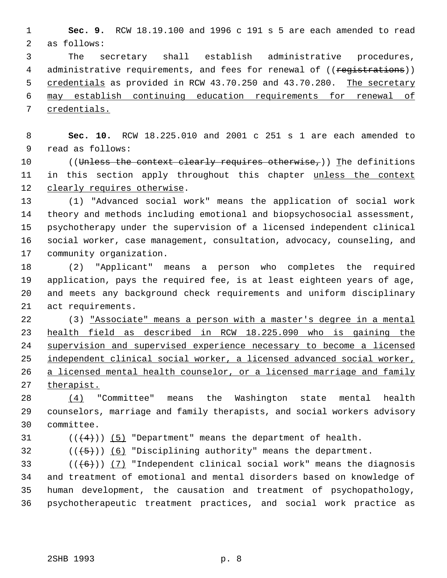**Sec. 9.** RCW 18.19.100 and 1996 c 191 s 5 are each amended to read as follows:

 The secretary shall establish administrative procedures, 4 administrative requirements, and fees for renewal of ((registrations)) 5 credentials as provided in RCW 43.70.250 and 43.70.280. The secretary may establish continuing education requirements for renewal of credentials.

 **Sec. 10.** RCW 18.225.010 and 2001 c 251 s 1 are each amended to read as follows:

10 ((Unless the context clearly requires otherwise,)) The definitions 11 in this section apply throughout this chapter unless the context 12 clearly requires otherwise.

 (1) "Advanced social work" means the application of social work theory and methods including emotional and biopsychosocial assessment, psychotherapy under the supervision of a licensed independent clinical social worker, case management, consultation, advocacy, counseling, and community organization.

 (2) "Applicant" means a person who completes the required application, pays the required fee, is at least eighteen years of age, and meets any background check requirements and uniform disciplinary act requirements.

 (3) "Associate" means a person with a master's degree in a mental health field as described in RCW 18.225.090 who is gaining the supervision and supervised experience necessary to become a licensed independent clinical social worker, a licensed advanced social worker, 26 a licensed mental health counselor, or a licensed marriage and family 27 therapist.

 (4) "Committee" means the Washington state mental health counselors, marriage and family therapists, and social workers advisory committee.

31  $((4+))$  (5) "Department" means the department of health.

32  $((\overline{5}))$  (6) "Disciplining authority" means the department.

33 ( $((+6))$  (7) "Independent clinical social work" means the diagnosis and treatment of emotional and mental disorders based on knowledge of human development, the causation and treatment of psychopathology, psychotherapeutic treatment practices, and social work practice as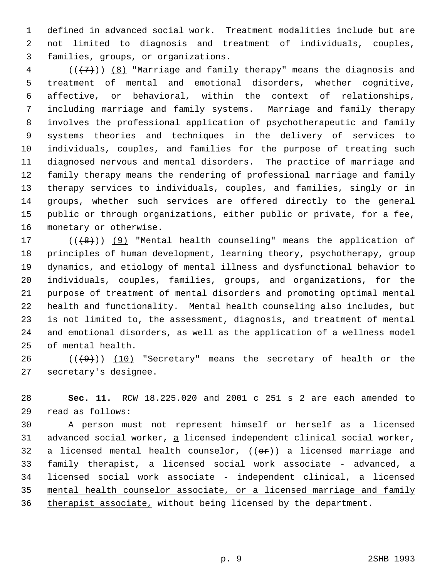defined in advanced social work. Treatment modalities include but are not limited to diagnosis and treatment of individuals, couples, families, groups, or organizations.

 (( $\{7\}$ )) <u>(8)</u> "Marriage and family therapy" means the diagnosis and treatment of mental and emotional disorders, whether cognitive, affective, or behavioral, within the context of relationships, including marriage and family systems. Marriage and family therapy involves the professional application of psychotherapeutic and family systems theories and techniques in the delivery of services to individuals, couples, and families for the purpose of treating such diagnosed nervous and mental disorders. The practice of marriage and family therapy means the rendering of professional marriage and family therapy services to individuals, couples, and families, singly or in groups, whether such services are offered directly to the general public or through organizations, either public or private, for a fee, monetary or otherwise.

 $((+8))$  (9) "Mental health counseling" means the application of principles of human development, learning theory, psychotherapy, group dynamics, and etiology of mental illness and dysfunctional behavior to individuals, couples, families, groups, and organizations, for the purpose of treatment of mental disorders and promoting optimal mental health and functionality. Mental health counseling also includes, but is not limited to, the assessment, diagnosis, and treatment of mental and emotional disorders, as well as the application of a wellness model of mental health.

 $((+9))$   $(10)$  "Secretary" means the secretary of health or the secretary's designee.

 **Sec. 11.** RCW 18.225.020 and 2001 c 251 s 2 are each amended to read as follows:

 A person must not represent himself or herself as a licensed 31 advanced social worker, a licensed independent clinical social worker, 32  $a$  licensed mental health counselor, (( $\Theta$ r))  $a$  licensed marriage and 33 family therapist, a licensed social work associate - advanced, a 34 licensed social work associate - independent clinical, a licensed mental health counselor associate, or a licensed marriage and family 36 therapist associate, without being licensed by the department.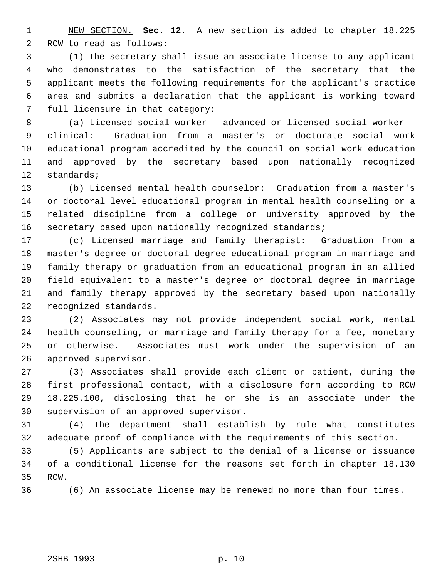NEW SECTION. **Sec. 12.** A new section is added to chapter 18.225 RCW to read as follows:

 (1) The secretary shall issue an associate license to any applicant who demonstrates to the satisfaction of the secretary that the applicant meets the following requirements for the applicant's practice area and submits a declaration that the applicant is working toward full licensure in that category:

 (a) Licensed social worker - advanced or licensed social worker - clinical: Graduation from a master's or doctorate social work educational program accredited by the council on social work education and approved by the secretary based upon nationally recognized standards;

 (b) Licensed mental health counselor: Graduation from a master's or doctoral level educational program in mental health counseling or a related discipline from a college or university approved by the 16 secretary based upon nationally recognized standards;

 (c) Licensed marriage and family therapist: Graduation from a master's degree or doctoral degree educational program in marriage and family therapy or graduation from an educational program in an allied field equivalent to a master's degree or doctoral degree in marriage and family therapy approved by the secretary based upon nationally recognized standards.

 (2) Associates may not provide independent social work, mental health counseling, or marriage and family therapy for a fee, monetary or otherwise. Associates must work under the supervision of an approved supervisor.

 (3) Associates shall provide each client or patient, during the first professional contact, with a disclosure form according to RCW 18.225.100, disclosing that he or she is an associate under the supervision of an approved supervisor.

 (4) The department shall establish by rule what constitutes adequate proof of compliance with the requirements of this section.

 (5) Applicants are subject to the denial of a license or issuance of a conditional license for the reasons set forth in chapter 18.130 RCW.

(6) An associate license may be renewed no more than four times.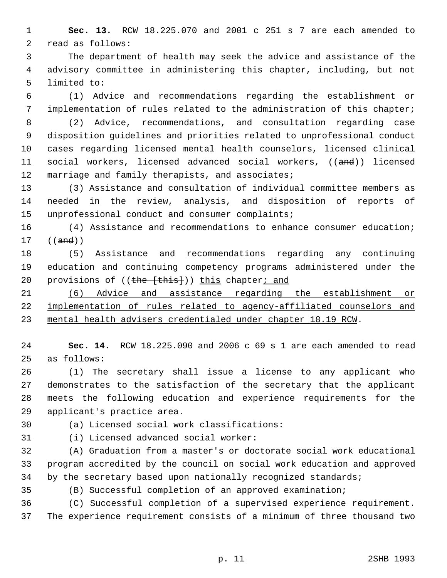**Sec. 13.** RCW 18.225.070 and 2001 c 251 s 7 are each amended to read as follows:

 The department of health may seek the advice and assistance of the advisory committee in administering this chapter, including, but not limited to:

 (1) Advice and recommendations regarding the establishment or implementation of rules related to the administration of this chapter;

 (2) Advice, recommendations, and consultation regarding case disposition guidelines and priorities related to unprofessional conduct cases regarding licensed mental health counselors, licensed clinical social workers, licensed advanced social workers, ((and)) licensed 12 marriage and family therapists, and associates;

 (3) Assistance and consultation of individual committee members as needed in the review, analysis, and disposition of reports of unprofessional conduct and consumer complaints;

 (4) Assistance and recommendations to enhance consumer education; ((and))

 (5) Assistance and recommendations regarding any continuing education and continuing competency programs administered under the 20 provisions of ((the [this])) this chapter; and

 (6) Advice and assistance regarding the establishment or implementation of rules related to agency-affiliated counselors and mental health advisers credentialed under chapter 18.19 RCW.

 **Sec. 14.** RCW 18.225.090 and 2006 c 69 s 1 are each amended to read as follows:

 (1) The secretary shall issue a license to any applicant who demonstrates to the satisfaction of the secretary that the applicant meets the following education and experience requirements for the applicant's practice area.

(a) Licensed social work classifications:

(i) Licensed advanced social worker:

 (A) Graduation from a master's or doctorate social work educational program accredited by the council on social work education and approved 34 by the secretary based upon nationally recognized standards;

(B) Successful completion of an approved examination;

 (C) Successful completion of a supervised experience requirement. The experience requirement consists of a minimum of three thousand two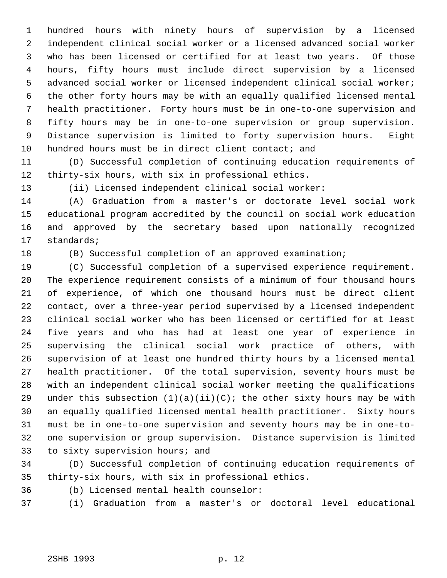hundred hours with ninety hours of supervision by a licensed independent clinical social worker or a licensed advanced social worker who has been licensed or certified for at least two years. Of those hours, fifty hours must include direct supervision by a licensed advanced social worker or licensed independent clinical social worker; the other forty hours may be with an equally qualified licensed mental health practitioner. Forty hours must be in one-to-one supervision and fifty hours may be in one-to-one supervision or group supervision. Distance supervision is limited to forty supervision hours. Eight 10 hundred hours must be in direct client contact; and

 (D) Successful completion of continuing education requirements of thirty-six hours, with six in professional ethics.

(ii) Licensed independent clinical social worker:

 (A) Graduation from a master's or doctorate level social work educational program accredited by the council on social work education and approved by the secretary based upon nationally recognized standards;

## (B) Successful completion of an approved examination;

 (C) Successful completion of a supervised experience requirement. The experience requirement consists of a minimum of four thousand hours of experience, of which one thousand hours must be direct client contact, over a three-year period supervised by a licensed independent clinical social worker who has been licensed or certified for at least five years and who has had at least one year of experience in supervising the clinical social work practice of others, with supervision of at least one hundred thirty hours by a licensed mental health practitioner. Of the total supervision, seventy hours must be with an independent clinical social worker meeting the qualifications 29 under this subsection  $(1)(a)(ii)(C)$ ; the other sixty hours may be with an equally qualified licensed mental health practitioner. Sixty hours must be in one-to-one supervision and seventy hours may be in one-to- one supervision or group supervision. Distance supervision is limited to sixty supervision hours; and

 (D) Successful completion of continuing education requirements of thirty-six hours, with six in professional ethics.

(b) Licensed mental health counselor:

(i) Graduation from a master's or doctoral level educational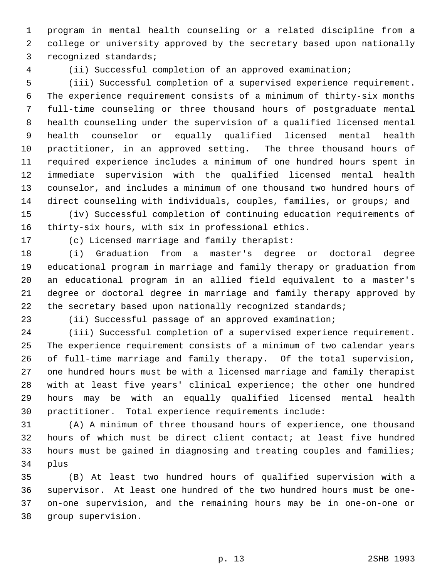program in mental health counseling or a related discipline from a college or university approved by the secretary based upon nationally recognized standards;

(ii) Successful completion of an approved examination;

 (iii) Successful completion of a supervised experience requirement. The experience requirement consists of a minimum of thirty-six months full-time counseling or three thousand hours of postgraduate mental health counseling under the supervision of a qualified licensed mental health counselor or equally qualified licensed mental health practitioner, in an approved setting. The three thousand hours of required experience includes a minimum of one hundred hours spent in immediate supervision with the qualified licensed mental health counselor, and includes a minimum of one thousand two hundred hours of direct counseling with individuals, couples, families, or groups; and

 (iv) Successful completion of continuing education requirements of thirty-six hours, with six in professional ethics.

(c) Licensed marriage and family therapist:

 (i) Graduation from a master's degree or doctoral degree educational program in marriage and family therapy or graduation from an educational program in an allied field equivalent to a master's degree or doctoral degree in marriage and family therapy approved by 22 the secretary based upon nationally recognized standards;

(ii) Successful passage of an approved examination;

 (iii) Successful completion of a supervised experience requirement. The experience requirement consists of a minimum of two calendar years of full-time marriage and family therapy. Of the total supervision, one hundred hours must be with a licensed marriage and family therapist with at least five years' clinical experience; the other one hundred hours may be with an equally qualified licensed mental health practitioner. Total experience requirements include:

 (A) A minimum of three thousand hours of experience, one thousand hours of which must be direct client contact; at least five hundred hours must be gained in diagnosing and treating couples and families; plus

 (B) At least two hundred hours of qualified supervision with a supervisor. At least one hundred of the two hundred hours must be one- on-one supervision, and the remaining hours may be in one-on-one or group supervision.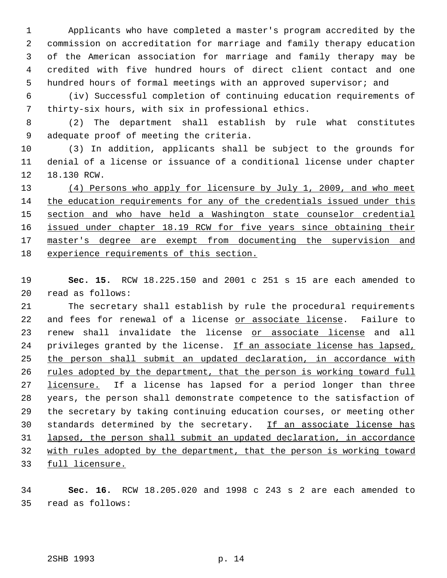Applicants who have completed a master's program accredited by the commission on accreditation for marriage and family therapy education of the American association for marriage and family therapy may be credited with five hundred hours of direct client contact and one hundred hours of formal meetings with an approved supervisor; and

 (iv) Successful completion of continuing education requirements of thirty-six hours, with six in professional ethics.

 (2) The department shall establish by rule what constitutes adequate proof of meeting the criteria.

 (3) In addition, applicants shall be subject to the grounds for denial of a license or issuance of a conditional license under chapter 18.130 RCW.

13 (4) Persons who apply for licensure by July 1, 2009, and who meet the education requirements for any of the credentials issued under this section and who have held a Washington state counselor credential 16 issued under chapter 18.19 RCW for five years since obtaining their 17 master's degree are exempt from documenting the supervision and experience requirements of this section.

 **Sec. 15.** RCW 18.225.150 and 2001 c 251 s 15 are each amended to read as follows:

 The secretary shall establish by rule the procedural requirements 22 and fees for renewal of a license or associate license. Failure to 23 renew shall invalidate the license or associate license and all 24 privileges granted by the license. If an associate license has lapsed, 25 the person shall submit an updated declaration, in accordance with 26 rules adopted by the department, that the person is working toward full 27 licensure. If a license has lapsed for a period longer than three years, the person shall demonstrate competence to the satisfaction of the secretary by taking continuing education courses, or meeting other 30 standards determined by the secretary. If an associate license has lapsed, the person shall submit an updated declaration, in accordance with rules adopted by the department, that the person is working toward 33 full licensure.

 **Sec. 16.** RCW 18.205.020 and 1998 c 243 s 2 are each amended to read as follows: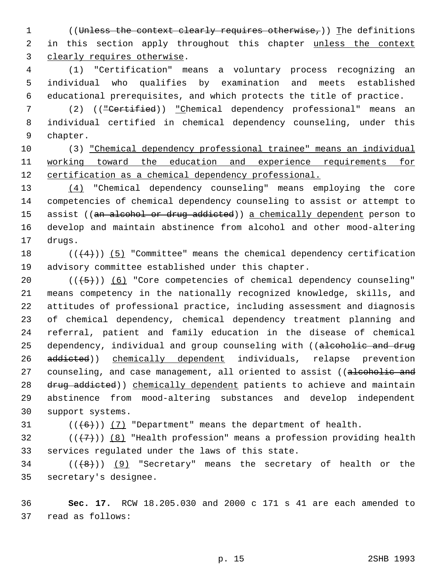1 ((Unless the context clearly requires otherwise,)) The definitions 2 in this section apply throughout this chapter unless the context clearly requires otherwise.

 (1) "Certification" means a voluntary process recognizing an individual who qualifies by examination and meets established educational prerequisites, and which protects the title of practice.

 (2) (("Certified)) "Chemical dependency professional" means an individual certified in chemical dependency counseling, under this chapter.

 (3) "Chemical dependency professional trainee" means an individual 11 working toward the education and experience requirements for 12 certification as a chemical dependency professional.

 (4) "Chemical dependency counseling" means employing the core competencies of chemical dependency counseling to assist or attempt to 15 assist ((an alcohol or drug addicted)) a chemically dependent person to develop and maintain abstinence from alcohol and other mood-altering drugs.

18  $((+4))$  (5) "Committee" means the chemical dependency certification advisory committee established under this chapter.

 $((+5))$   $(6)$  "Core competencies of chemical dependency counseling" means competency in the nationally recognized knowledge, skills, and attitudes of professional practice, including assessment and diagnosis of chemical dependency, chemical dependency treatment planning and referral, patient and family education in the disease of chemical 25 dependency, individual and group counseling with ((alcoholic and drug 26 addicted)) chemically dependent individuals, relapse prevention 27 counseling, and case management, all oriented to assist ((alcoholic and 28 drug addicted)) chemically dependent patients to achieve and maintain abstinence from mood-altering substances and develop independent support systems.

31  $((\langle 6 \rangle)(7)$  "Department" means the department of health.

32 ( $(\overline{\{7\}})$ ) (8) "Health profession" means a profession providing health services regulated under the laws of this state.

34 ( $(\langle 8 \rangle)$ ) (9) "Secretary" means the secretary of health or the secretary's designee.

 **Sec. 17.** RCW 18.205.030 and 2000 c 171 s 41 are each amended to read as follows: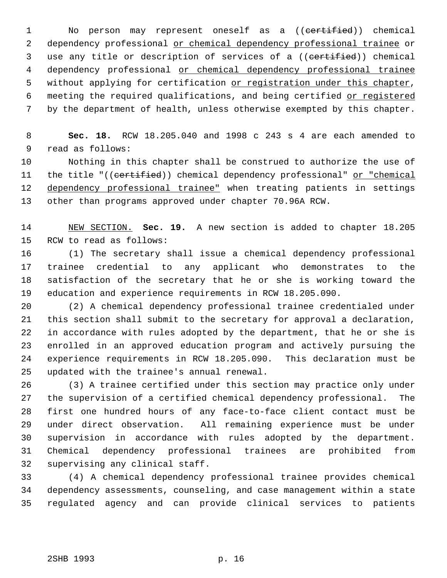1 No person may represent oneself as a ((certified)) chemical 2 dependency professional or chemical dependency professional trainee or 3 use any title or description of services of a ((certified)) chemical 4 dependency professional or chemical dependency professional trainee 5 without applying for certification or registration under this chapter, 6 meeting the required qualifications, and being certified or registered by the department of health, unless otherwise exempted by this chapter.

 **Sec. 18.** RCW 18.205.040 and 1998 c 243 s 4 are each amended to read as follows:

 Nothing in this chapter shall be construed to authorize the use of 11 the title "((certified)) chemical dependency professional" or "chemical 12 dependency professional trainee" when treating patients in settings other than programs approved under chapter 70.96A RCW.

 NEW SECTION. **Sec. 19.** A new section is added to chapter 18.205 RCW to read as follows:

 (1) The secretary shall issue a chemical dependency professional trainee credential to any applicant who demonstrates to the satisfaction of the secretary that he or she is working toward the education and experience requirements in RCW 18.205.090.

 (2) A chemical dependency professional trainee credentialed under this section shall submit to the secretary for approval a declaration, in accordance with rules adopted by the department, that he or she is enrolled in an approved education program and actively pursuing the experience requirements in RCW 18.205.090. This declaration must be updated with the trainee's annual renewal.

 (3) A trainee certified under this section may practice only under the supervision of a certified chemical dependency professional. The first one hundred hours of any face-to-face client contact must be under direct observation. All remaining experience must be under supervision in accordance with rules adopted by the department. Chemical dependency professional trainees are prohibited from supervising any clinical staff.

 (4) A chemical dependency professional trainee provides chemical dependency assessments, counseling, and case management within a state regulated agency and can provide clinical services to patients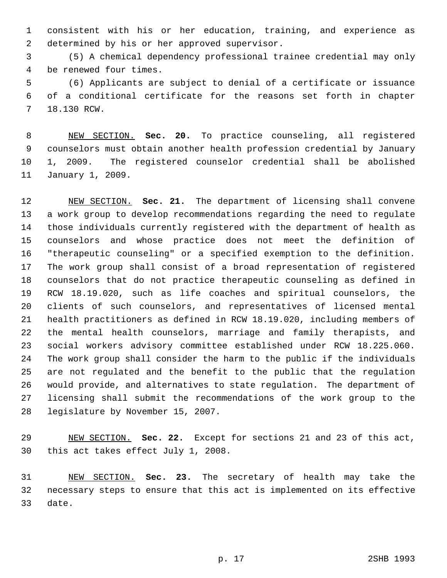consistent with his or her education, training, and experience as determined by his or her approved supervisor.

 (5) A chemical dependency professional trainee credential may only be renewed four times.

 (6) Applicants are subject to denial of a certificate or issuance of a conditional certificate for the reasons set forth in chapter 18.130 RCW.

 NEW SECTION. **Sec. 20.** To practice counseling, all registered counselors must obtain another health profession credential by January 1, 2009. The registered counselor credential shall be abolished January 1, 2009.

 NEW SECTION. **Sec. 21.** The department of licensing shall convene a work group to develop recommendations regarding the need to regulate those individuals currently registered with the department of health as counselors and whose practice does not meet the definition of "therapeutic counseling" or a specified exemption to the definition. The work group shall consist of a broad representation of registered counselors that do not practice therapeutic counseling as defined in RCW 18.19.020, such as life coaches and spiritual counselors, the clients of such counselors, and representatives of licensed mental health practitioners as defined in RCW 18.19.020, including members of the mental health counselors, marriage and family therapists, and social workers advisory committee established under RCW 18.225.060. The work group shall consider the harm to the public if the individuals are not regulated and the benefit to the public that the regulation would provide, and alternatives to state regulation. The department of licensing shall submit the recommendations of the work group to the legislature by November 15, 2007.

 NEW SECTION. **Sec. 22.** Except for sections 21 and 23 of this act, this act takes effect July 1, 2008.

 NEW SECTION. **Sec. 23.** The secretary of health may take the necessary steps to ensure that this act is implemented on its effective date.